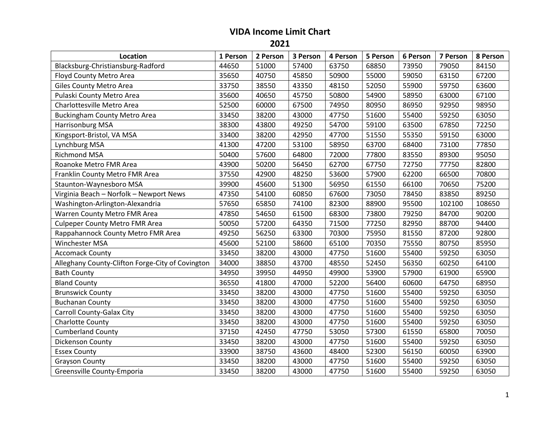## **VIDA Income Limit Chart**

**2021**

| Location                                         | 1 Person | 2 Person | 3 Person | 4 Person | 5 Person | 6 Person | 7 Person | 8 Person |
|--------------------------------------------------|----------|----------|----------|----------|----------|----------|----------|----------|
| Blacksburg-Christiansburg-Radford                | 44650    | 51000    | 57400    | 63750    | 68850    | 73950    | 79050    | 84150    |
| Floyd County Metro Area                          | 35650    | 40750    | 45850    | 50900    | 55000    | 59050    | 63150    | 67200    |
| <b>Giles County Metro Area</b>                   | 33750    | 38550    | 43350    | 48150    | 52050    | 55900    | 59750    | 63600    |
| Pulaski County Metro Area                        | 35600    | 40650    | 45750    | 50800    | 54900    | 58950    | 63000    | 67100    |
| Charlottesville Metro Area                       | 52500    | 60000    | 67500    | 74950    | 80950    | 86950    | 92950    | 98950    |
| <b>Buckingham County Metro Area</b>              | 33450    | 38200    | 43000    | 47750    | 51600    | 55400    | 59250    | 63050    |
| Harrisonburg MSA                                 | 38300    | 43800    | 49250    | 54700    | 59100    | 63500    | 67850    | 72250    |
| Kingsport-Bristol, VA MSA                        | 33400    | 38200    | 42950    | 47700    | 51550    | 55350    | 59150    | 63000    |
| Lynchburg MSA                                    | 41300    | 47200    | 53100    | 58950    | 63700    | 68400    | 73100    | 77850    |
| Richmond MSA                                     | 50400    | 57600    | 64800    | 72000    | 77800    | 83550    | 89300    | 95050    |
| Roanoke Metro FMR Area                           | 43900    | 50200    | 56450    | 62700    | 67750    | 72750    | 77750    | 82800    |
| Franklin County Metro FMR Area                   | 37550    | 42900    | 48250    | 53600    | 57900    | 62200    | 66500    | 70800    |
| Staunton-Waynesboro MSA                          | 39900    | 45600    | 51300    | 56950    | 61550    | 66100    | 70650    | 75200    |
| Virginia Beach - Norfolk - Newport News          | 47350    | 54100    | 60850    | 67600    | 73050    | 78450    | 83850    | 89250    |
| Washington-Arlington-Alexandria                  | 57650    | 65850    | 74100    | 82300    | 88900    | 95500    | 102100   | 108650   |
| Warren County Metro FMR Area                     | 47850    | 54650    | 61500    | 68300    | 73800    | 79250    | 84700    | 90200    |
| <b>Culpeper County Metro FMR Area</b>            | 50050    | 57200    | 64350    | 71500    | 77250    | 82950    | 88700    | 94400    |
| Rappahannock County Metro FMR Area               | 49250    | 56250    | 63300    | 70300    | 75950    | 81550    | 87200    | 92800    |
| Winchester MSA                                   | 45600    | 52100    | 58600    | 65100    | 70350    | 75550    | 80750    | 85950    |
| <b>Accomack County</b>                           | 33450    | 38200    | 43000    | 47750    | 51600    | 55400    | 59250    | 63050    |
| Alleghany County-Clifton Forge-City of Covington | 34000    | 38850    | 43700    | 48550    | 52450    | 56350    | 60250    | 64100    |
| <b>Bath County</b>                               | 34950    | 39950    | 44950    | 49900    | 53900    | 57900    | 61900    | 65900    |
| <b>Bland County</b>                              | 36550    | 41800    | 47000    | 52200    | 56400    | 60600    | 64750    | 68950    |
| <b>Brunswick County</b>                          | 33450    | 38200    | 43000    | 47750    | 51600    | 55400    | 59250    | 63050    |
| <b>Buchanan County</b>                           | 33450    | 38200    | 43000    | 47750    | 51600    | 55400    | 59250    | 63050    |
| Carroll County-Galax City                        | 33450    | 38200    | 43000    | 47750    | 51600    | 55400    | 59250    | 63050    |
| Charlotte County                                 | 33450    | 38200    | 43000    | 47750    | 51600    | 55400    | 59250    | 63050    |
| <b>Cumberland County</b>                         | 37150    | 42450    | 47750    | 53050    | 57300    | 61550    | 65800    | 70050    |
| Dickenson County                                 | 33450    | 38200    | 43000    | 47750    | 51600    | 55400    | 59250    | 63050    |
| <b>Essex County</b>                              | 33900    | 38750    | 43600    | 48400    | 52300    | 56150    | 60050    | 63900    |
| <b>Grayson County</b>                            | 33450    | 38200    | 43000    | 47750    | 51600    | 55400    | 59250    | 63050    |
| Greensville County-Emporia                       | 33450    | 38200    | 43000    | 47750    | 51600    | 55400    | 59250    | 63050    |